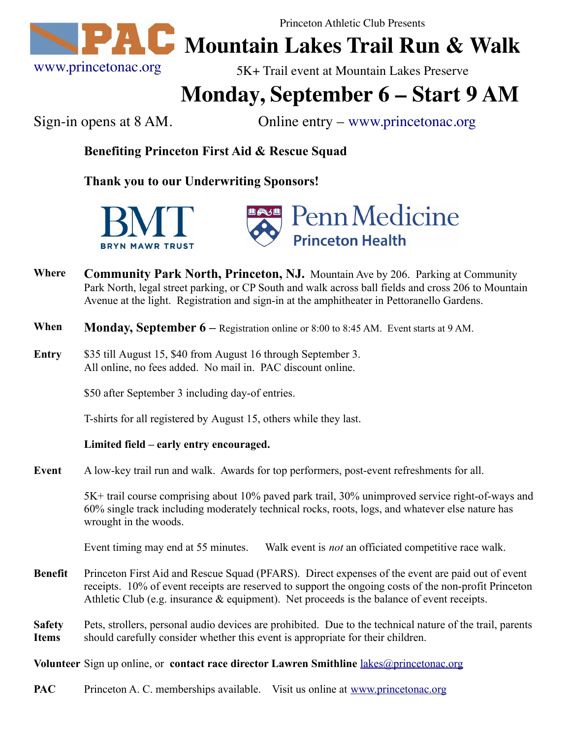

Princeton Athletic Club Presents

## **Manufallie** Mountain Lakes Trail Run & Walk

5K+ Trail event at Mountain Lakes Preserve

## **Monday, September 6 – Start 9 AM**

Sign-in opens at 8 AM. Online entry – [www.princetonac.org](http://www.princetonac.org/)

**Benefiting Princeton First Aid & Rescue Squad**

**Thank you to our Underwriting Sponsors!**





- **Where Community Park North, Princeton, NJ.** Mountain Ave by 206. Parking at Community Park North, legal street parking, or CP South and walk across ball fields and cross 206 to Mountain Avenue at the light. Registration and sign-in at the amphitheater in Pettoranello Gardens.
- **When Monday, September 6** Registration online or 8:00 to 8:45 AM. Event starts at 9 AM.
- **Entry** \$35 till August 15, \$40 from August 16 through September 3. All online, no fees added. No mail in. PAC discount online.

\$50 after September 3 including day-of entries.

T-shirts for all registered by August 15, others while they last.

## **Limited field – early entry encouraged.**

**Event** A low-key trail run and walk. Awards for top performers, post-event refreshments for all.

5K+ trail course comprising about 10% paved park trail, 30% unimproved service right-of-ways and 60% single track including moderately technical rocks, roots, logs, and whatever else nature has wrought in the woods.

Event timing may end at 55 minutes. Walk event is *not* an officiated competitive race walk.

- **Benefit** Princeton First Aid and Rescue Squad (PFARS). Direct expenses of the event are paid out of event receipts. 10% of event receipts are reserved to support the ongoing costs of the non-profit Princeton Athletic Club (e.g. insurance  $\&$  equipment). Net proceeds is the balance of event receipts.
- **Safety Items** Pets, strollers, personal audio devices are prohibited. Due to the technical nature of the trail, parents should carefully consider whether this event is appropriate for their children.

**Volunteer** Sign up online, or **contact race director Lawren Smithline** [lakes@princetonac.org](mailto:lakes@princetonac.org)

**PAC** Princeton A. C. memberships available. Visit us online at [www.princetonac.org](http://www.princetonac.org/)